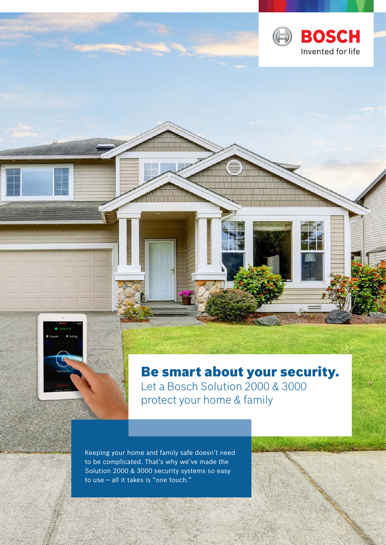



Be smart about your security. Let a Bosch Solution 2000 & 3000 protect your home & family

Keeping your home and family safe doesn't need to be complicated. That's why we've made the Solution 2000 & 3000 security systems so easy to use — all it takes is "one touch."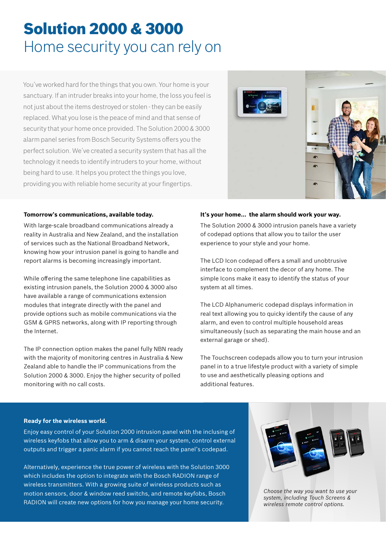# Solution 2000 & 3000 Home security you can rely on

You've worked hard for the things that you own. Your home is your sanctuary. If an intruder breaks into your home, the loss you feel is not just about the items destroyed or stolen - they can be easily replaced. What you lose is the peace of mind and that sense of security that your home once provided. The Solution 2000 & 3000 alarm panel series from Bosch Security Systems offers you the perfect solution. We've created a security system that has all the technology it needs to identify intruders to your home, without being hard to use. It helps you protect the things you love, providing you with reliable home security at your fingertips.



### **Tomorrow's communications, available today.**

With large-scale broadband communications already a reality in Australia and New Zealand, and the installation of services such as the National Broadband Network, knowing how your intrusion panel is going to handle and report alarms is becoming increasingly important.

While offering the same telephone line capabilities as existing intrusion panels, the Solution 2000 & 3000 also have available a range of communications extension modules that integrate directly with the panel and provide options such as mobile communications via the GSM & GPRS networks, along with IP reporting through the Internet.

The IP connection option makes the panel fully NBN ready with the majority of monitoring centres in Australia & New Zealand able to handle the IP communications from the Solution 2000 & 3000. Enjoy the higher security of polled monitoring with no call costs.

### **It's your home... the alarm should work your way.**

The Solution 2000 & 3000 intrusion panels have a variety of codepad options that allow you to tailor the user experience to your style and your home.

The LCD Icon codepad offers a small and unobtrusive interface to complement the decor of any home. The simple Icons make it easy to identify the status of your system at all times.

The LCD Alphanumeric codepad displays information in real text allowing you to quicky identify the cause of any alarm, and even to control multiple household areas simultaneously (such as separating the main house and an external garage or shed).

The Touchscreen codepads allow you to turn your intrusion panel in to a true lifestyle product with a variety of simple to use and aesthetically pleasing options and additional features.

### **Ready for the wireless world.**

Enjoy easy control of your Solution 2000 intrusion panel with the inclusing of wireless keyfobs that allow you to arm & disarm your system, control external outputs and trigger a panic alarm if you cannot reach the panel's codepad.

Alternatively, experience the true power of wireless with the Solution 3000 which includes the option to integrate with the Bosch RADION range of wireless transmitters. With a growing suite of wireless products such as motion sensors, door & window reed switchs, and remote keyfobs, Bosch RADION will create new options for how you manage your home security.



*Choose the way you want to use your system, including Touch Screens & wireless remote control options.*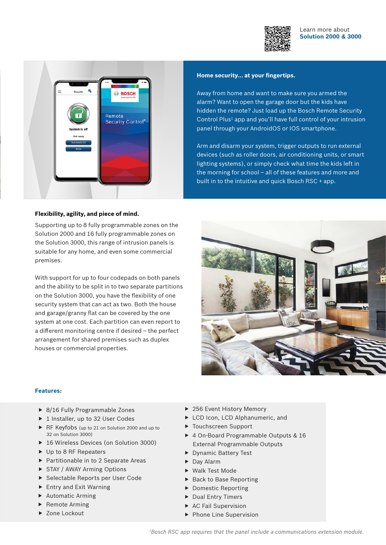

Learn more about **Solution 2000 & 3000**



### **Home security... at your fingertips.**

Away from home and want to make sure you armed the alarm? Want to open the garage door but the kids have hidden the remote? Just load up the Bosch Remote Security Control Plus<sup>1</sup> app and you'll have full control of your intrusion panel through your AndroidOS or IOS smartphone.

Arm and disarm your system, trigger outputs to run external devices (such as roller doors, air conditioning units, or smart lighting systems), or simply check what time the kids left in the morning for school – all of these features and more and built in to the intuitive and quick Bosch RSC + app.

#### **Flexibility, agility, and piece of mind.**

Supporting up to 8 fully programmable zones on the Solution 2000 and 16 fully programmable zones on the Solution 3000, this range of intrusion panels is suitable for any home, and even some commercial premises.

With support for up to four codepads on both panels and the ability to be split in to two separate partitions on the Solution 3000, you have the flexibility of one security system that can act as two. Both the house and garage/granny flat can be covered by the one system at one cost. Each partition can even report to a different monitoring centre if desired – the perfect arrangement for shared premises such as duplex houses or commercial properties.



#### **Features:**

- ▶ 8/16 Fully Programmable Zones
- $\blacktriangleright$  1 Installer, up to 32 User Codes
- ▶ RF Keyfobs (up to 21 on Solution 2000 and up to 32 on Solution 3000)
- ▶ 16 Wireless Devices (on Solution 3000)
- $\triangleright$  Up to 8 RF Repeaters
- $\blacktriangleright$  Partitionable in to 2 Separate Areas
- $\triangleright$  STAY / AWAY Arming Options
- ▶ Selectable Reports per User Code
- $\blacktriangleright$  Entry and Exit Warning
- $\blacktriangleright$  Automatic Arming
- $\blacktriangleright$  Remote Arming
- ▶ Zone Lockout
- $\blacktriangleright$  256 Event History Memory
- ▶ LCD Icon, LCD Alphanumeric, and
- $\blacktriangleright$  Touchscreen Support
- ▶ 4 On-Board Programmable Outputs & 16 External Programmable Outputs
- **Dynamic Battery Test**
- $\blacktriangleright$  Day Alarm
- ▶ Walk Test Mode
- $\blacktriangleright$  Back to Base Reporting
- $\blacktriangleright$  Domestic Reporting
- $\blacktriangleright$  Dual Entry Timers
- $\triangleright$  AC Fail Supervision
- $\blacktriangleright$  Phone Line Supervision